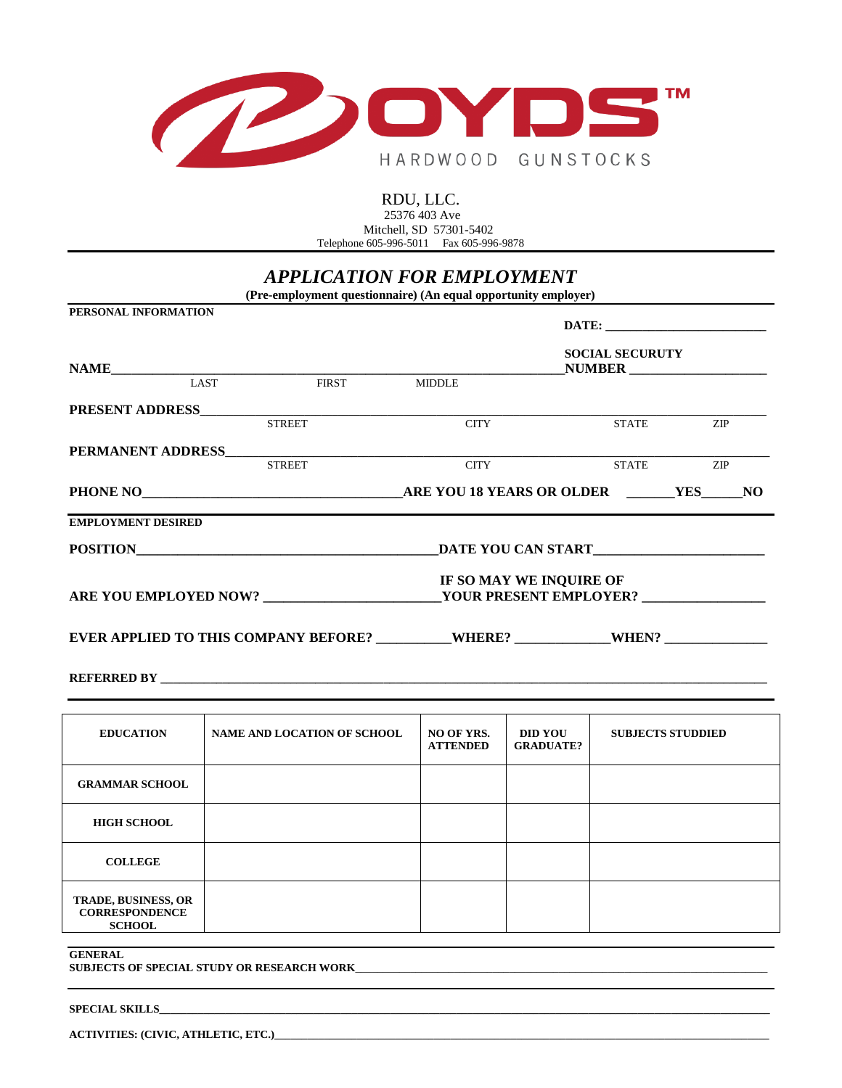

### RDU, LLC. 25376 403 Ave Mitchell, SD 57301-5402 Telephone 605-996-5011 Fax 605-996-9878

# *APPLICATION FOR EMPLOYMENT*

**(Pre-employment questionnaire) (An equal opportunity employer)**

| PERSONAL INFORMATION                                                              |               |                                    |                               |                             | <b>SOCIAL SECURUTY</b>   |           |  |
|-----------------------------------------------------------------------------------|---------------|------------------------------------|-------------------------------|-----------------------------|--------------------------|-----------|--|
|                                                                                   | LAST          | FIRST MIDDLE                       |                               |                             |                          |           |  |
| <b>PRESENT ADDRESS</b><br>STREET                                                  |               |                                    | <b>CITY</b>                   |                             | <b>STATE</b>             | ZIP       |  |
|                                                                                   | <b>STREET</b> |                                    | <b>CITY</b>                   |                             |                          | STATE ZIP |  |
|                                                                                   |               |                                    |                               |                             |                          |           |  |
| <b>EMPLOYMENT DESIRED</b>                                                         |               |                                    |                               |                             |                          |           |  |
| POSITION DATE YOU CAN START                                                       |               |                                    |                               |                             |                          |           |  |
| IF SO MAY WE INQUIRE OF                                                           |               |                                    |                               |                             |                          |           |  |
| EVER APPLIED TO THIS COMPANY BEFORE? _________WHERE? ___________WHEN? ___________ |               |                                    |                               |                             |                          |           |  |
|                                                                                   |               |                                    |                               |                             |                          |           |  |
| <b>EDUCATION</b>                                                                  |               | <b>NAME AND LOCATION OF SCHOOL</b> | NO OF YRS.<br><b>ATTENDED</b> | DID YOU<br><b>GRADUATE?</b> | <b>SUBJECTS STUDDIED</b> |           |  |
| <b>GRAMMAR SCHOOL</b>                                                             |               |                                    |                               |                             |                          |           |  |
| <b>HIGH SCHOOL</b>                                                                |               |                                    |                               |                             |                          |           |  |
| <b>COLLEGE</b>                                                                    |               |                                    |                               |                             |                          |           |  |
|                                                                                   |               |                                    |                               |                             |                          |           |  |

| <b>SCHOOL</b>  |  |
|----------------|--|
|                |  |
| <b>GENERAL</b> |  |

SUBJECTS OF SPECIAL STUDY OR RESEARCH WORK\_

#### **SPECIAL SKILLS\_\_\_\_\_\_\_\_\_\_\_\_\_\_\_\_\_\_\_\_\_\_\_\_\_\_\_\_\_\_\_\_\_\_\_\_\_\_\_\_\_\_\_\_\_\_\_\_\_\_\_\_\_\_\_\_\_\_\_\_\_\_\_\_\_\_\_\_\_\_\_\_\_\_\_\_\_\_\_\_\_\_\_\_\_\_\_\_\_\_\_\_\_\_\_\_\_\_\_\_\_\_\_\_\_\_\_\_\_\_\_**

**TRADE, BUSINESS, OR CORRESPONDENCE**

**ACTIVITIES: (CIVIC, ATHLETIC, ETC.)\_\_\_\_\_\_\_\_\_\_\_\_\_\_\_\_\_\_\_\_\_\_\_\_\_\_\_\_\_\_\_\_\_\_\_\_\_\_\_\_\_\_\_\_\_\_\_\_\_\_\_\_\_\_\_\_\_\_\_\_\_\_\_\_\_\_\_\_\_\_\_\_\_\_\_\_\_\_\_\_\_\_\_\_\_\_\_\_\_\_**